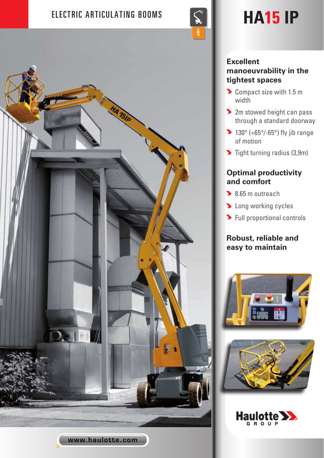# ELECTRIC ARTICULATING BOOMS  $\left|\left|\left|\left|\right|\right|\right|\right|$  **HA15 IP**



www.haulotte.com

### **Excellent manoeuvrability in the tightest spaces**

- Compact size with 1.5 m width
- **2** 2m stowed height can pass through a standard doorway
- $\blacktriangleright$  130° (+65°/-65°) fly jib range of motion
- $\blacktriangleright$  Tight turning radius (3,9m)

## **Optimal productivity and comfort**

- 8.65 m outreach
- **Deal** Long working cycles
- **>** Full proportional controls

# **Robust, reliable and easy to maintain**